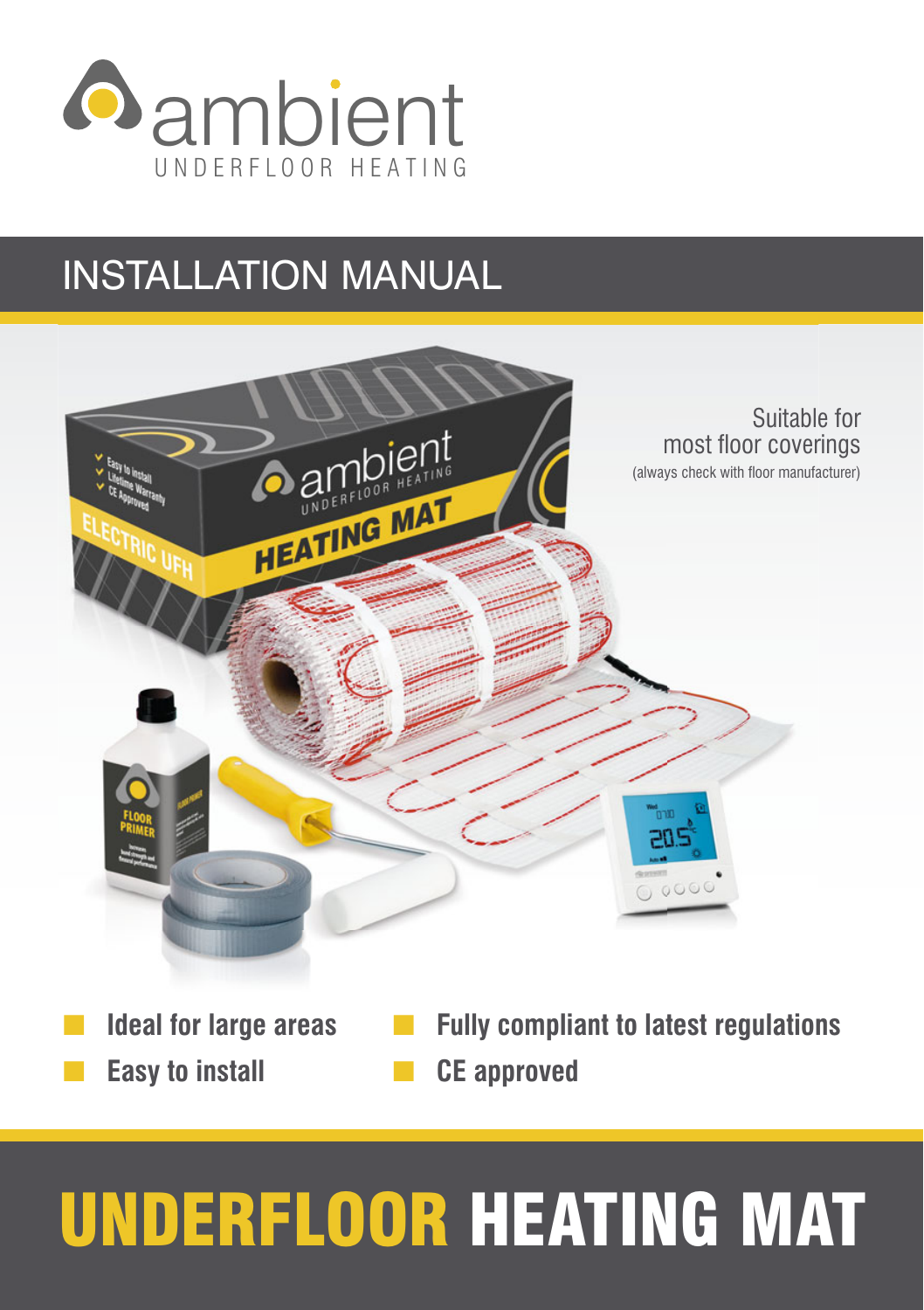

# INSTALLATION MANUAL



# UNDERFLOOR HEATING MAT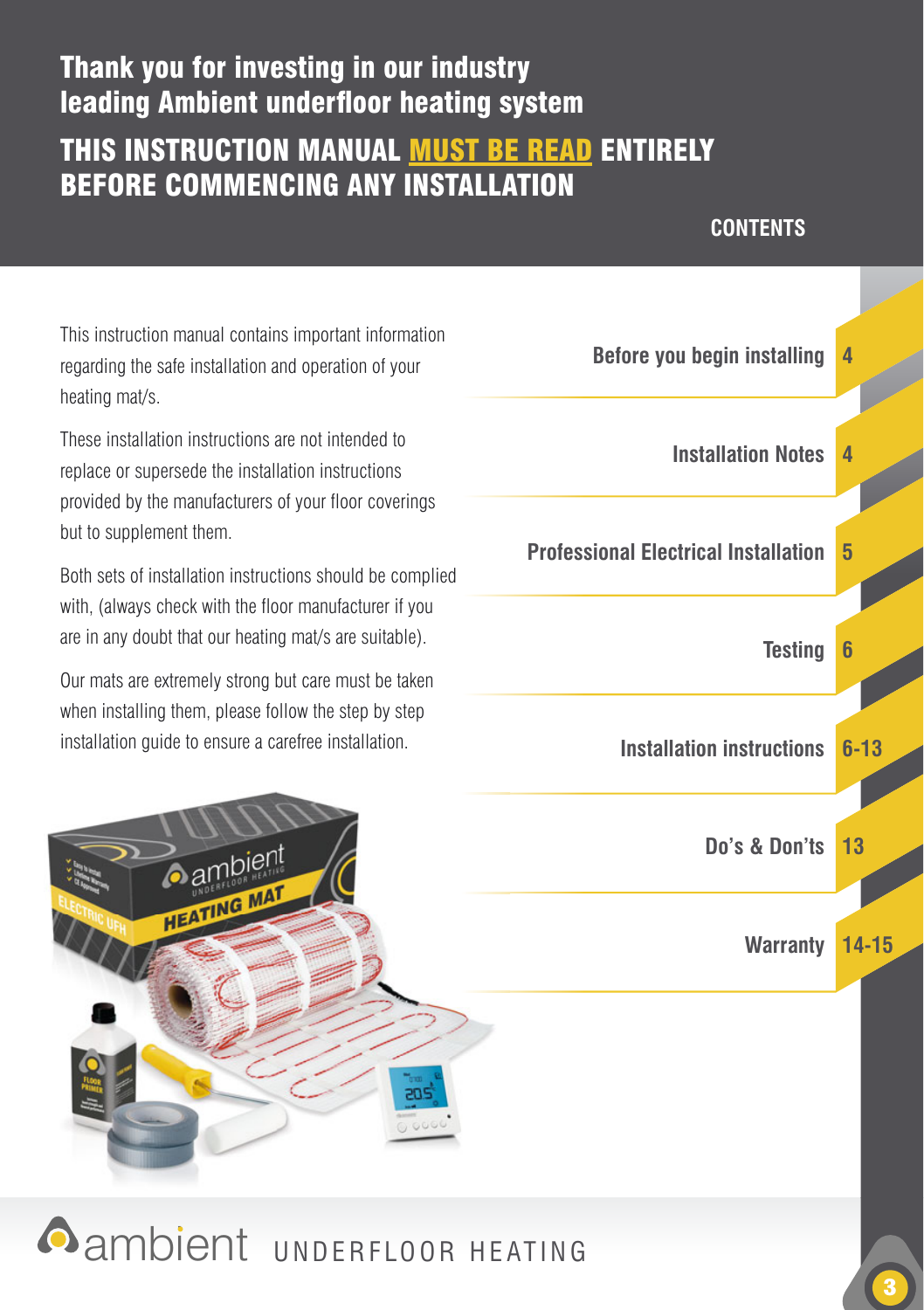### Thank you for investing in our industry leading Ambient underfloor heating system

### THIS INSTRUCTION MANUAL **MUST BE READ ENTIRELY** BEFORE COMMENCING ANY INSTALLATION

#### **CONTENTS**

This instruction manual contains important information regarding the safe installation and operation of your  **Before you begin installing 4** heating mat/s.

These installation instructions are not intended to provided by the manufacturers of your floor coverings but to supplement them.

Both sets of installation instructions should be complied with, (always check with the floor manufacturer if you are in any doubt that our heating mat/s are suitable).

Our mats are extremely strong but care must be taken when installing them, please follow the step by step

**HEATING MAL** 



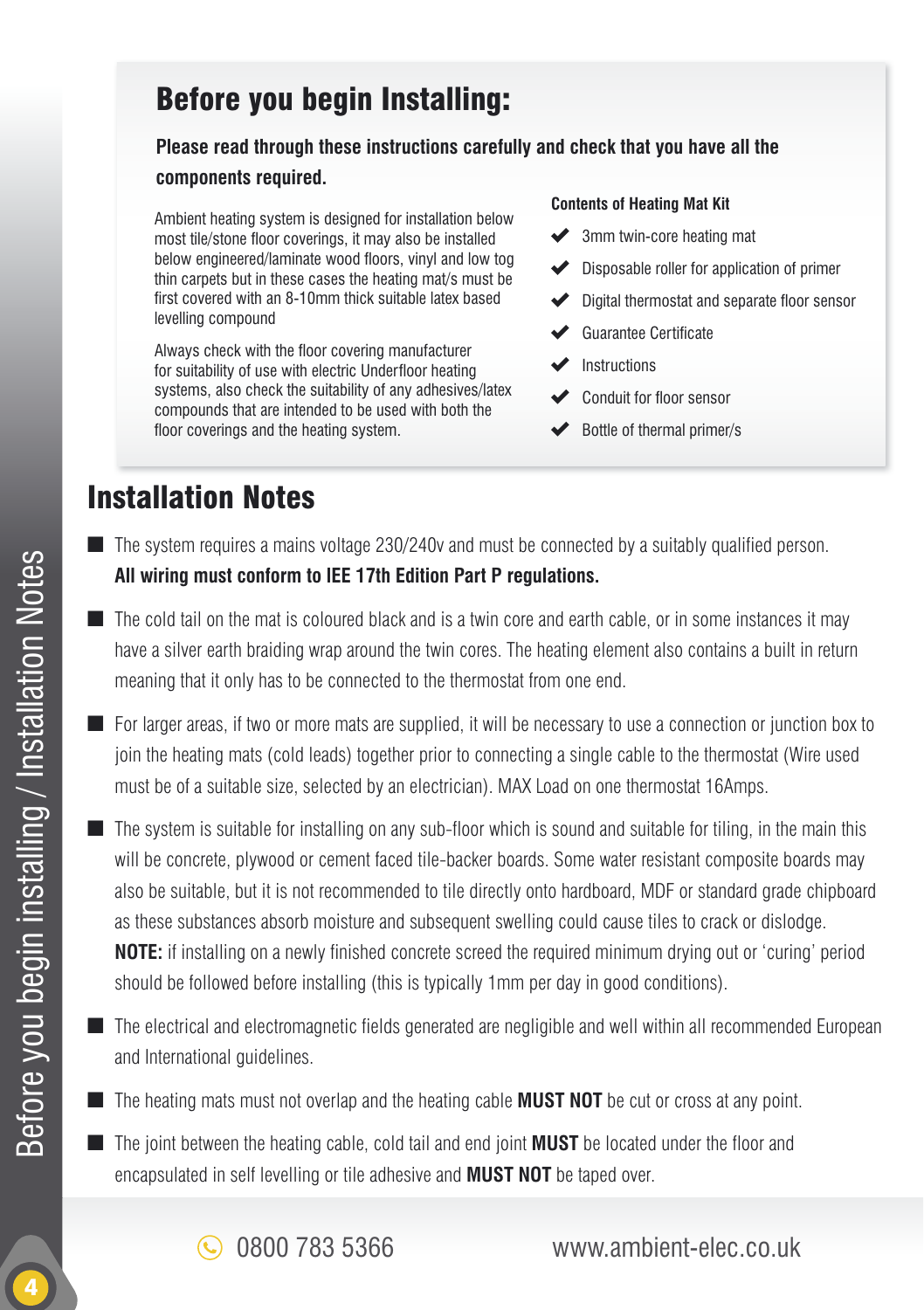### Before you begin Installing:

#### **Please read through these instructions carefully and check that you have all the**

#### **components required.**

Ambient heating system is designed for installation below most tile/stone floor coverings, it may also be installed below engineered/laminate wood floors, vinyl and low tog thin carpets but in these cases the heating mat/s must be first covered with an 8-10mm thick suitable latex based levelling compound

Always check with the floor covering manufacturer for suitability of use with electric Underfloor heating systems, also check the suitability of any adhesives/latex compounds that are intended to be used with both the floor coverings and the heating system.

#### **Contents of Heating Mat Kit**

- **◆** 3mm twin-core heating mat
- Disposable roller for application of primer
- Digital thermostat and separate floor sensor
- Guarantee Certificate
- Instructions
- Conduit for floor sensor
- Bottle of thermal primer/s

## Installation Notes

- $\blacksquare$  The system requires a mains voltage 230/240v and must be connected by a suitably qualified person. **All wiring must conform to lEE 17th Edition Part P regulations.**
- The cold tail on the mat is coloured black and is a twin core and earth cable, or in some instances it may have a silver earth braiding wrap around the twin cores. The heating element also contains a built in return meaning that it only has to be connected to the thermostat from one end.
- For larger areas, if two or more mats are supplied, it will be necessary to use a connection or junction box to join the heating mats (cold leads) together prior to connecting a single cable to the thermostat (Wire used must be of a suitable size, selected by an electrician). MAX Load on one thermostat 16Amps.
- The system is suitable for installing on any sub-floor which is sound and suitable for tiling, in the main this will be concrete, plywood or cement faced tile-backer boards. Some water resistant composite boards may also be suitable, but it is not recommended to tile directly onto hardboard, MDF or standard grade chipboard as these substances absorb moisture and subsequent swelling could cause tiles to crack or dislodge. **NOTE:** if installing on a newly finished concrete screed the required minimum drying out or 'curing' period should be followed before installing (this is typically 1mm per day in good conditions).
- $\blacksquare$  The electrical and electromagnetic fields generated are negligible and well within all recommended European and International guidelines.
- The heating mats must not overlap and the heating cable **MUST NOT** be cut or cross at any point.
- The joint between the heating cable, cold tail and end joint **MUST** be located under the floor and encapsulated in self levelling or tile adhesive and **MUST NOT** be taped over.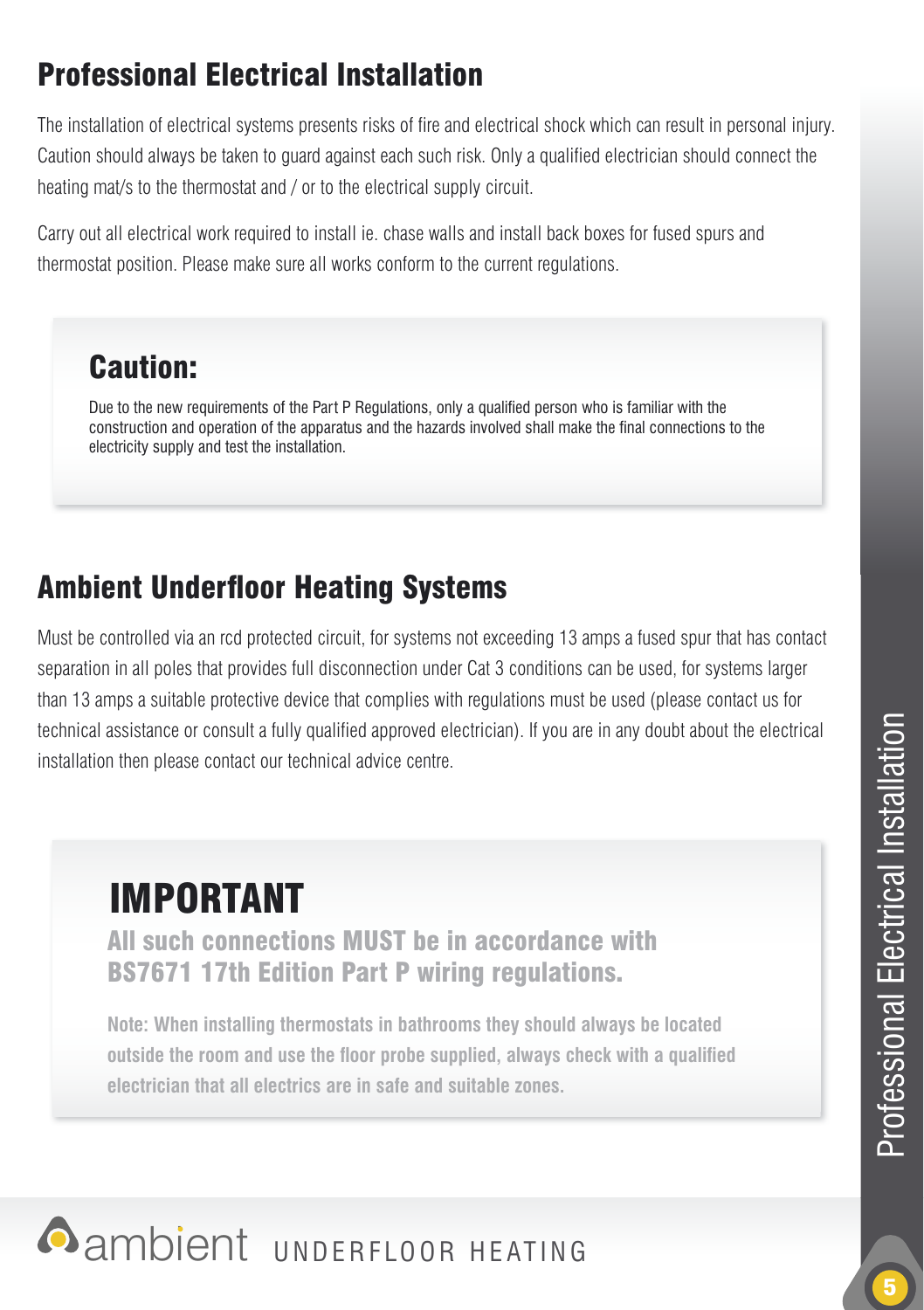# Professional Electrical Installation

The installation of electrical systems presents risks of fire and electrical shock which can result in personal injury. Caution should always be taken to quard against each such risk. Only a qualified electrician should connect the heating mat/s to the thermostat and / or to the electrical supply circuit.

Carry out all electrical work required to install ie. chase walls and install back boxes for fused spurs and thermostat position. Please make sure all works conform to the current regulations.

### Caution:

Due to the new requirements of the Part P Regulations, only a qualified person who is familiar with the construction and operation of the apparatus and the hazards involved shall make the final connections to the electricity supply and test the installation.

# **Ambient Underfloor Heating Systems**

Must be controlled via an rcd protected circuit, for systems not exceeding 13 amps a fused spur that has contact separation in all poles that provides full disconnection under Cat 3 conditions can be used, for systems larger than 13 amps a suitable protective device that complies with regulations must be used (please contact us for technical assistance or consult a fully qualified approved electrician). If you are in any doubt about the electrical installation then please contact our technical advice centre.

# IMPORTANT

All such connections MUST be in accordance with BS7671 17th Edition Part P wiring regulations.

**Note: When installing thermostats in bathrooms they should always be located outside the room and use the floor probe supplied, always check with a qualified electrician that all electrics are in safe and suitable zones.**

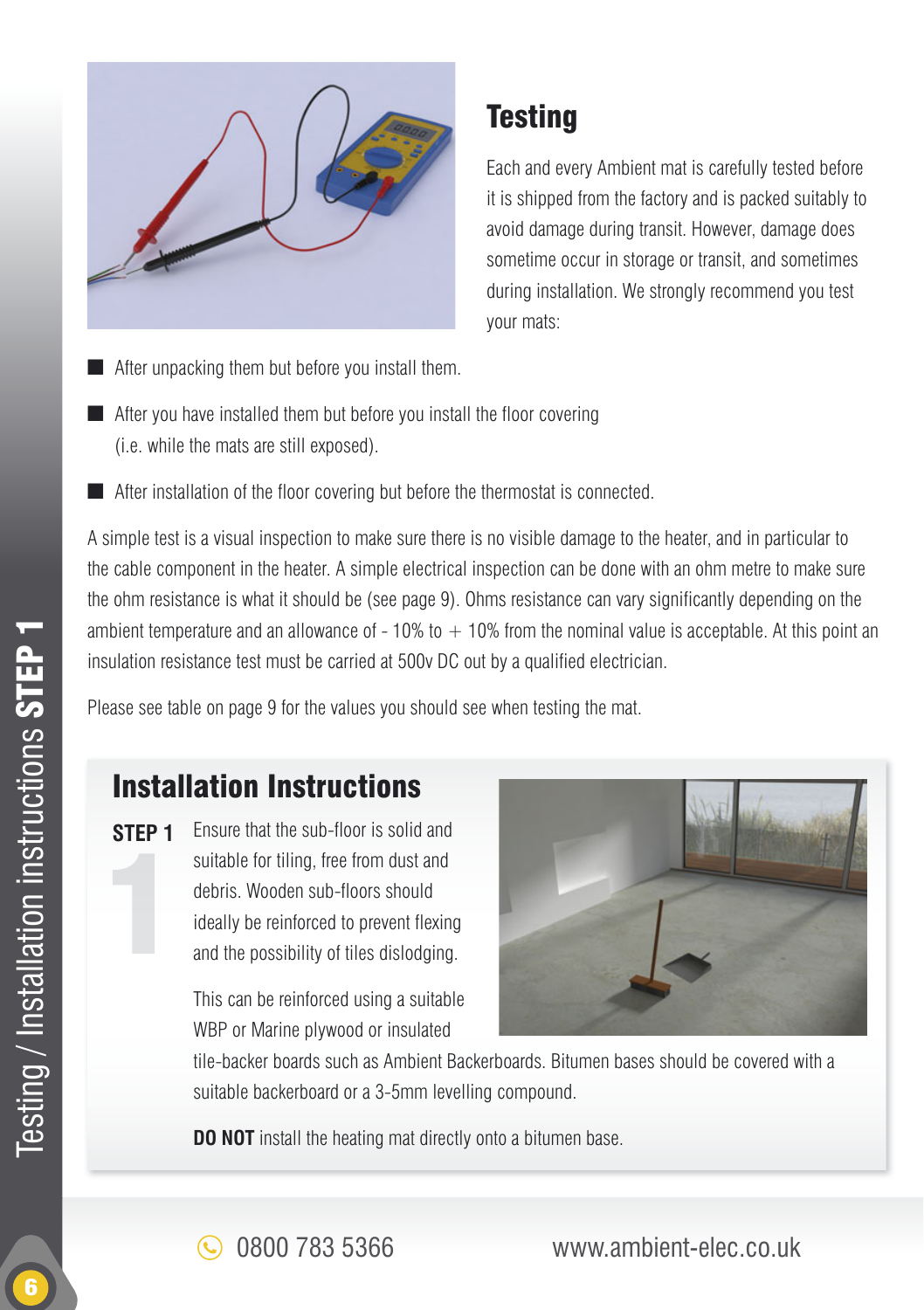

# **Testing**

Each and every Ambient mat is carefully tested before it is shipped from the factory and is packed suitably to avoid damage during transit. However, damage does sometime occur in storage or transit, and sometimes during installation. We strongly recommend you test your mats:

- After unpacking them but before you install them.
- $\blacksquare$  After you have installed them but before you install the floor covering (i.e. while the mats are still exposed).
- $\blacksquare$  After installation of the floor covering but before the thermostat is connected.

A simple test is a visual inspection to make sure there is no visible damage to the heater, and in particular to the cable component in the heater. A simple electrical inspection can be done with an ohm metre to make sure the ohm resistance is what it should be (see page 9). Ohms resistance can vary significantly depending on the ambient temperature and an allowance of  $-10\%$  to  $+10\%$  from the nominal value is acceptable. At this point an insulation resistance test must be carried at 500y DC out by a qualified electrician.

Please see table on page 9 for the values you should see when testing the mat.

## Installation Instructions

**STEP 1** Ensure that the sub-floor is solid and suitable for tiling, free from dust and debris. Wooden sub-floors should ideally be reinforced to prevent flexing and the possibility of tiles dislodging.

> This can be reinforced using a suitable WBP or Marine plywood or insulated



tile-backer boards such as Ambient Backerboards. Bitumen bases should be covered with a suitable backerboard or a 3-5mm levelling compound.

**DO NOT** install the heating mat directly onto a bitumen base.

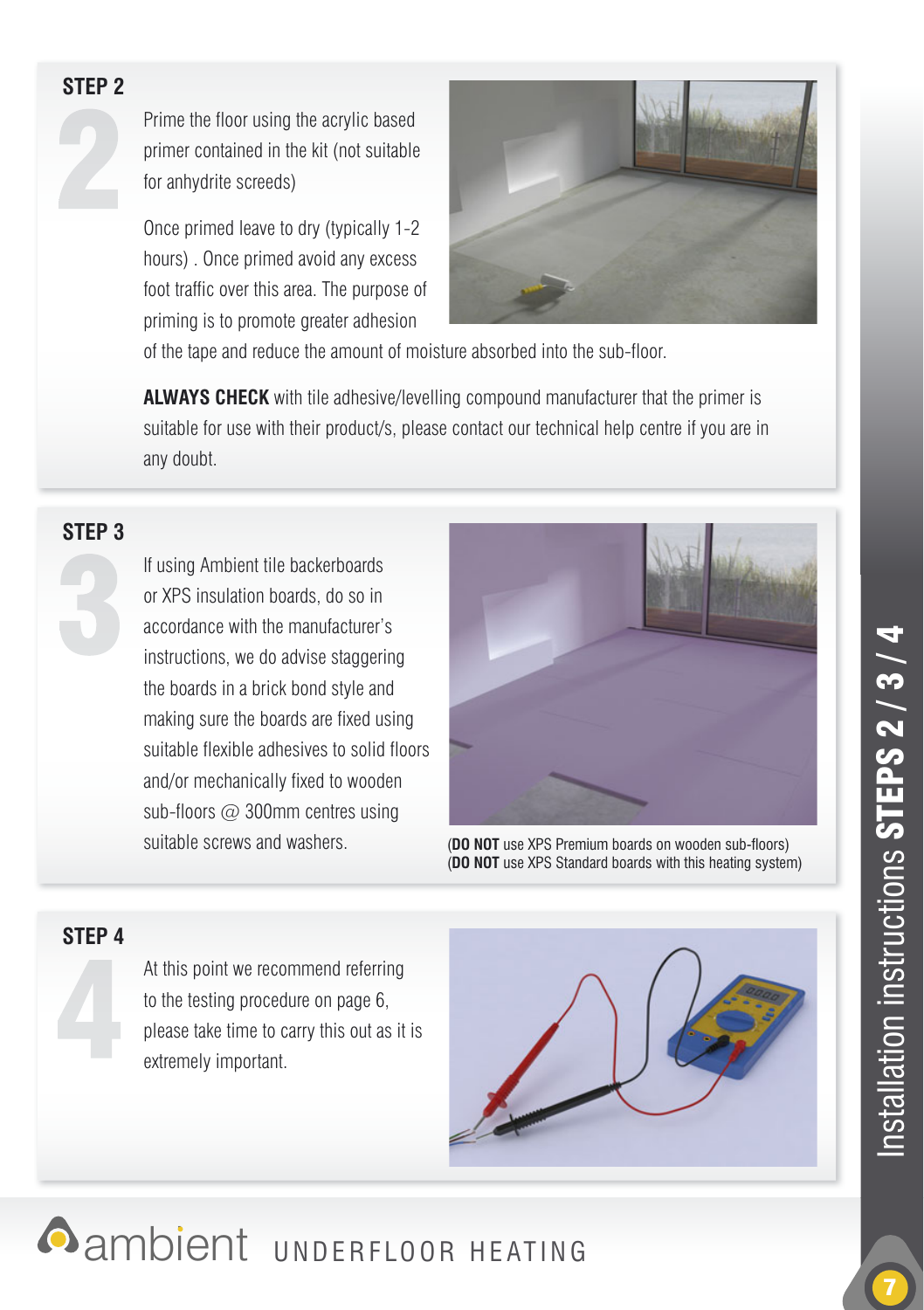

Prime the floor using the acrylic based primer contained in the kit (not suitable for anhydrite screeds)

Once primed leave to dry (typically 1-2 hours) . Once primed avoid any excess foot traffic over this area. The purpose of priming is to promote greater adhesion



of the tape and reduce the amount of moisture absorbed into the sub-floor.

**ALWAYS CHECK** with tile adhesive/levelling compound manufacturer that the primer is suitable for use with their product/s, please contact our technical help centre if you are in any doubt.

#### **STEP 3**

If using Ambient tile backerboards or XPS insulation boards, do so in accordance with the manufacturer's instructions, we do advise staggering the boards in a brick bond style and making sure the boards are fixed using suitable flexible adhesives to solid floors and/or mechanically fixed to wooden sub-floors  $\varpi$  300mm centres using suitable screws and washers. **(DO NOT** use XPS Premium boards on wooden sub-floors)



(**DO NOT** use XPS Standard boards with this heating system)

#### **STEP 4**

At this point we recommend referring to the testing procedure on page 6, please take time to carry this out as it is extremely important.



**Annoient UNDERFLOOR HEATING**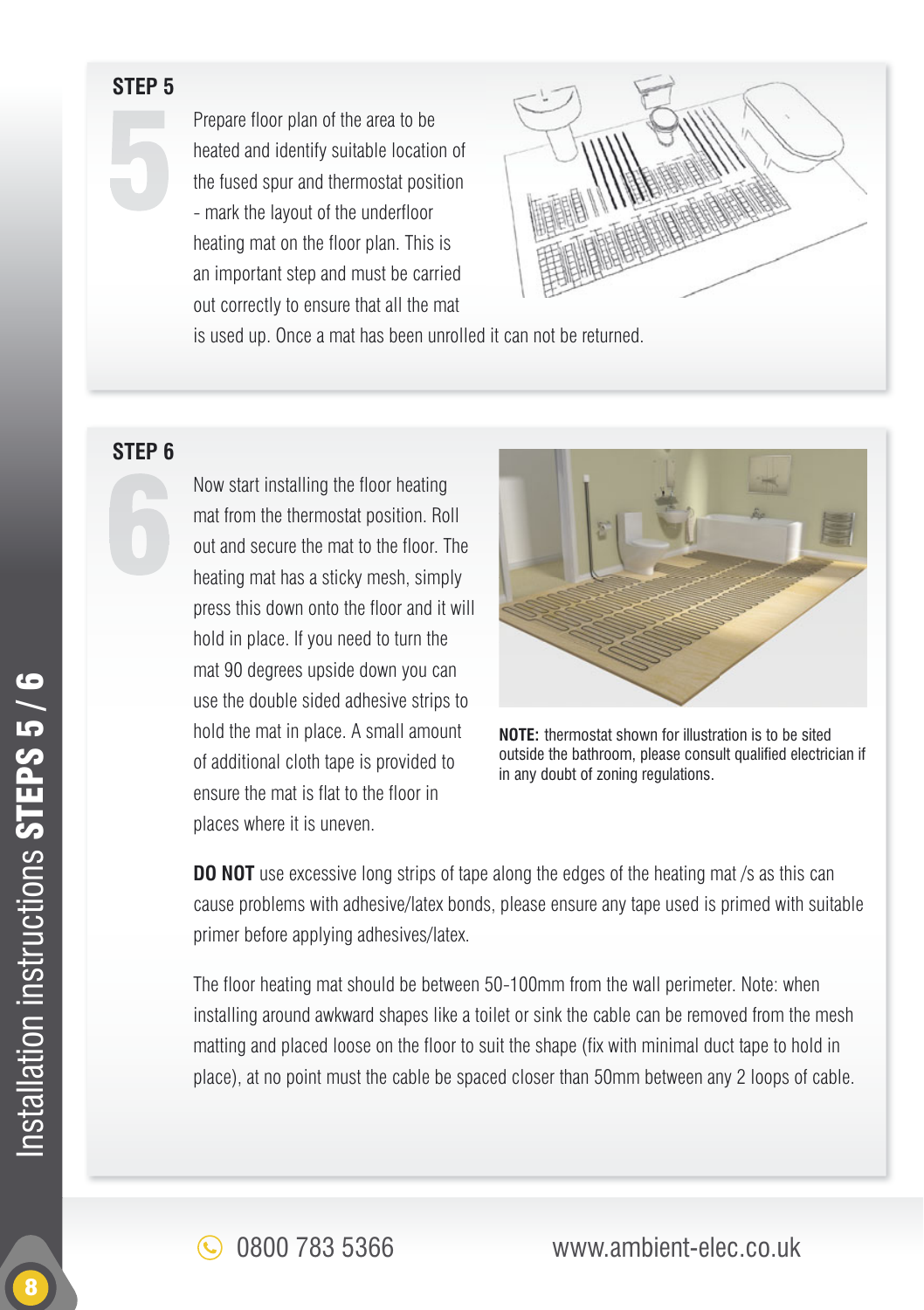Prepare floor plan of the area to be heated and identify suitable location of the fused spur and thermostat position - mark the layout of the underfloor heating mat on the floor plan. This is an important step and must be carried out correctly to ensure that all the mat



is used up. Once a mat has been unrolled it can not be returned.

#### **STEP 6**

Now start installing the floor heating mat from the thermostat position. Roll out and secure the mat to the floor. The heating mat has a sticky mesh, simply press this down onto the floor and it will hold in place. If you need to turn the mat 90 degrees upside down you can use the double sided adhesive strips to hold the mat in place. A small amount of additional cloth tape is provided to ensure the mat is flat to the floor in places where it is uneven.



**NOTE:** thermostat shown for illustration is to be sited outside the bathroom, please consult qualified electrician if in any doubt of zoning regulations.

**DO NOT** use excessive long strips of tape along the edges of the heating mat /s as this can cause problems with adhesive/latex bonds, please ensure any tape used is primed with suitable primer before applying adhesives/latex.

The floor heating mat should be between 50-100mm from the wall perimeter. Note: when installing around awkward shapes like a toilet or sink the cable can be removed from the mesh matting and placed loose on the floor to suit the shape (fix with minimal duct tape to hold in place), at no point must the cable be spaced closer than 50mm between any 2 loops of cable.

0800 783 5366 www.ambient-elec.co.uk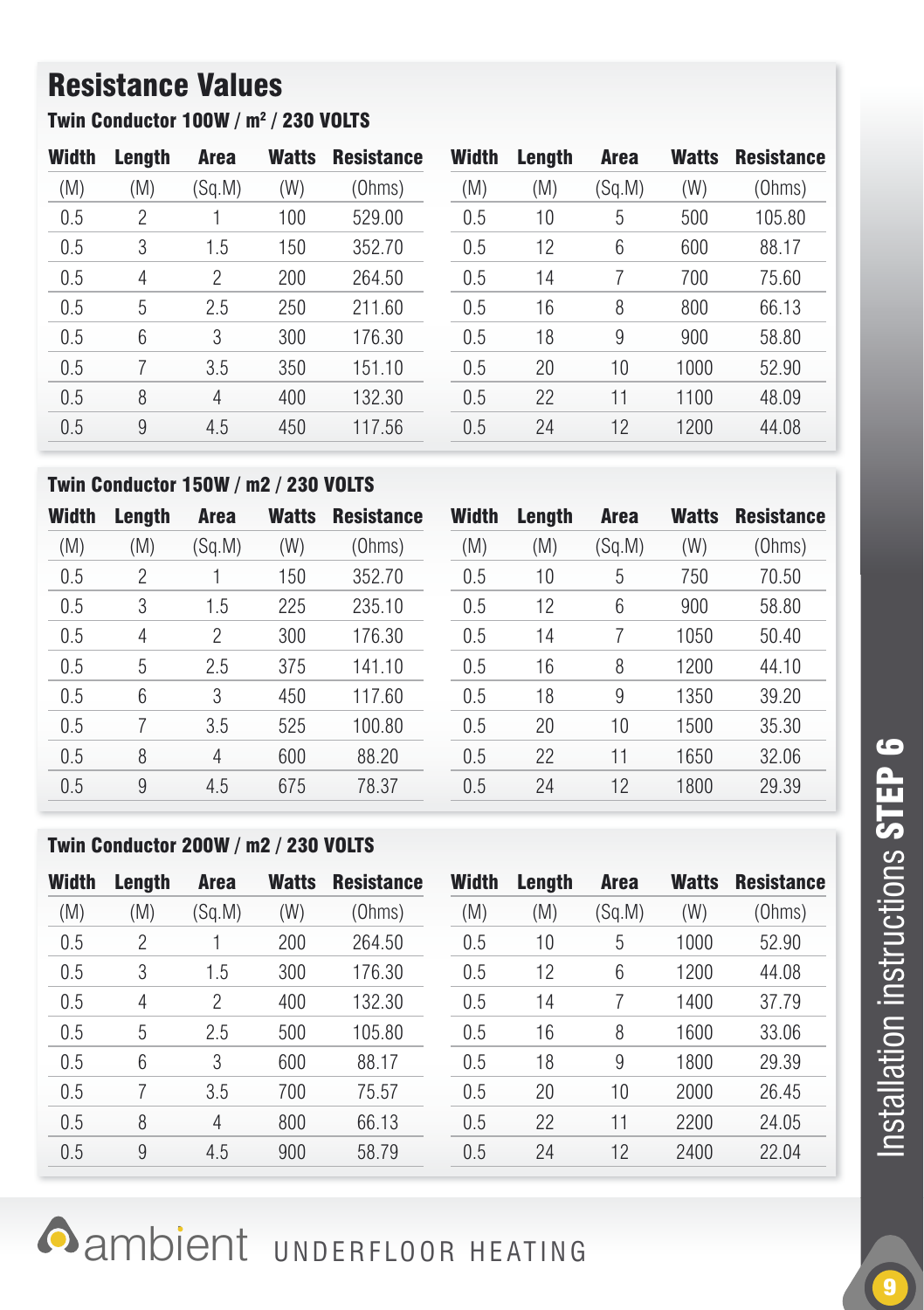# Resistance Values

Twin Conductor 100W / m2 / 230 VOLTS

| Width | Length | <b>Area</b> | <b>Watts</b> | <b>Resistance</b> | Width | Length | Area   | <b>Watts</b> | <b>Resistance</b> |
|-------|--------|-------------|--------------|-------------------|-------|--------|--------|--------------|-------------------|
| (M)   | (M)    | (Sg.M)      | (W)          | (Ohms)            | (M)   | (M)    | (Sg.M) | (W)          | (Ohms)            |
| 0.5   | 2      |             | 100          | 529.00            | 0.5   | 10     | 5      | 500          | 105.80            |
| 0.5   | 3      | 1.5         | 150          | 352.70            | 0.5   | 12     | 6      | 600          | 88.17             |
| 0.5   | 4      | 2           | 200          | 264.50            | 0.5   | 14     |        | 700          | 75.60             |
| 0.5   | 5      | 2.5         | 250          | 211.60            | 0.5   | 16     | 8      | 800          | 66.13             |
| 0.5   | 6      | 3           | 300          | 176.30            | 0.5   | 18     | 9      | 900          | 58.80             |
| 0.5   |        | 3.5         | 350          | 151.10            | 0.5   | 20     | 10     | 1000         | 52.90             |
| 0.5   | 8      | 4           | 400          | 132.30            | 0.5   | 22     | 11     | 1100         | 48.09             |
| 0.5   | 9      | 4.5         | 450          | 117.56            | 0.5   | 24     | 12     | 1200         | 44.08             |
|       |        |             |              |                   |       |        |        |              |                   |

#### Twin Conductor 150W / m2 / 230 VOLTS

| Width | Length | <b>Area</b> | <b>Watts</b> | <b>Resistance</b> | <b>Width</b> | Lenath | <b>Area</b> | Watts | <b>Resistance</b> |
|-------|--------|-------------|--------------|-------------------|--------------|--------|-------------|-------|-------------------|
| (M)   | (M)    | (Sq.M)      | (W)          | (Ohms)            | (M)          | (M)    | (Sg.M)      | (W)   | (Ohms)            |
| 0.5   | 2      |             | 150          | 352.70            | 0.5          | 10     | 5           | 750   | 70.50             |
| 0.5   | 3      | 1.5         | 225          | 235.10            | 0.5          | 12     | 6           | 900   | 58.80             |
| 0.5   | 4      | 2           | 300          | 176.30            | 0.5          | 14     |             | 1050  | 50.40             |
| 0.5   | 5      | 2.5         | 375          | 141.10            | 0.5          | 16     | 8           | 1200  | 44.10             |
| 0.5   | 6      | 3           | 450          | 117.60            | 0.5          | 18     | 9           | 1350  | 39.20             |
| 0.5   |        | 3.5         | 525          | 100.80            | 0.5          | 20     | 10          | 1500  | 35.30             |
| 0.5   | 8      | 4           | 600          | 88.20             | 0.5          | 22     | 11          | 1650  | 32.06             |
| 0.5   | 9      | 4.5         | 675          | 78.37             | 0.5          | 24     | 12          | 1800  | 29.39             |

#### Twin Conductor 200W / m2 / 230 VOLTS

| Width | Length | <b>Area</b> | <b>Watts</b> | <b>Resistance</b> | Width | Lenath | Area   | <b>Watts</b> | <b>Resistance</b> |
|-------|--------|-------------|--------------|-------------------|-------|--------|--------|--------------|-------------------|
| (M)   | (M)    | (Sg.M)      | (W)          | (Ohms)            | (M)   | (M)    | (Sg.M) | (W)          | (Ohms)            |
| 0.5   | 2      |             | 200          | 264.50            | 0.5   | 10     | 5      | 1000         | 52.90             |
| 0.5   | 3      | 1.5         | 300          | 176.30            | 0.5   | 12     | 6      | 1200         | 44.08             |
| 0.5   | 4      | 2           | 400          | 132.30            | 0.5   | 14     |        | 1400         | 37.79             |
| 0.5   | 5      | 2.5         | 500          | 105.80            | 0.5   | 16     | 8      | 1600         | 33.06             |
| 0.5   | 6      | 3           | 600          | 88.17             | 0.5   | 18     | 9      | 1800         | 29.39             |
| 0.5   |        | 3.5         | 700          | 75.57             | 0.5   | 20     | 10     | 2000         | 26.45             |
| 0.5   | 8      | 4           | 800          | 66.13             | 0.5   | 22     | 11     | 2200         | 24.05             |
| 0.5   | 9      | 4.5         | 900          | 58.79             | 0.5   | 24     | 12     | 2400         | 22.04             |

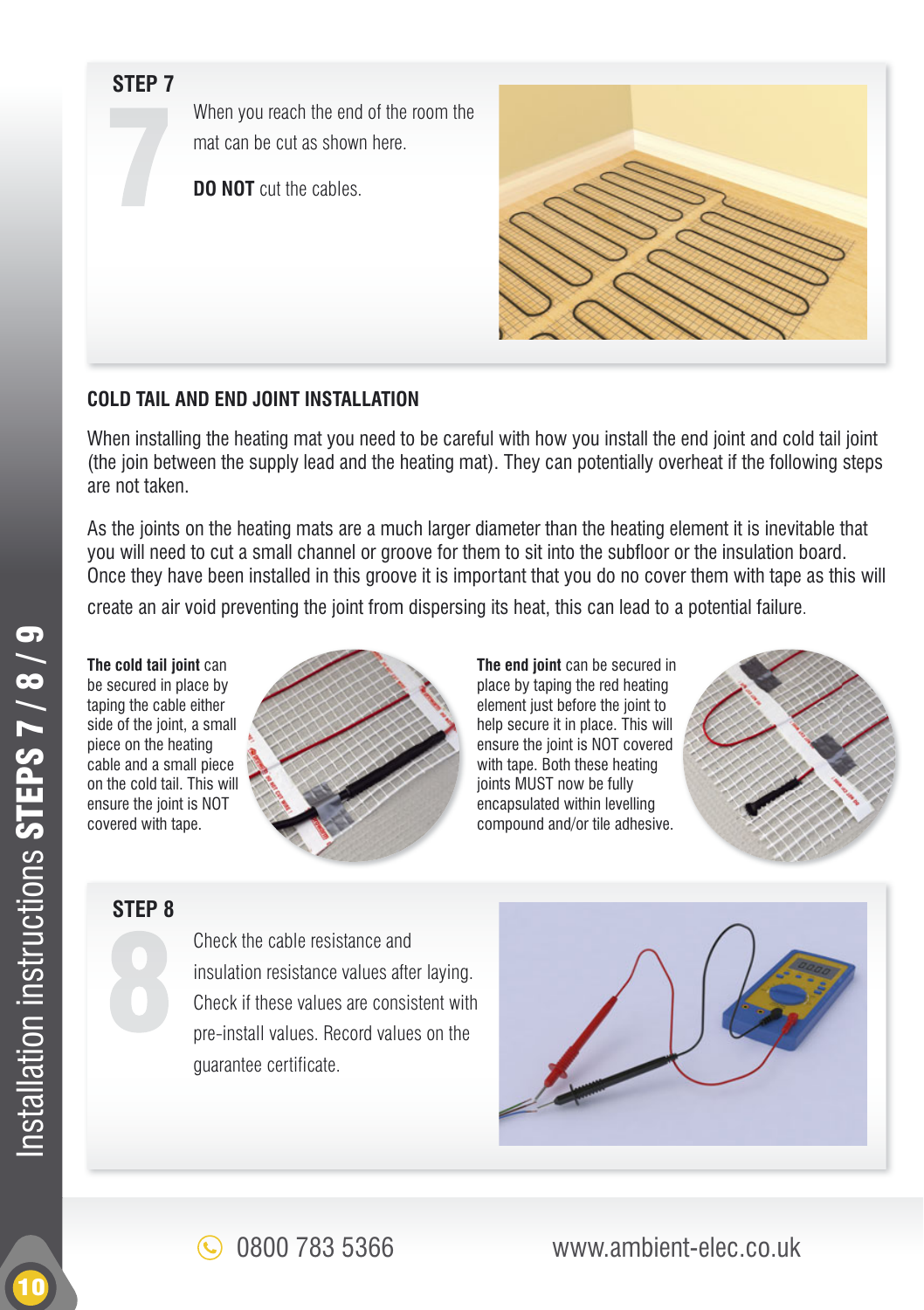When you reach the end of the room the mat can be cut as shown here.

**DO NOT** cut the cables



#### **COLD TAIL AND END JOINT INSTALLATION**

When installing the heating mat you need to be careful with how you install the end joint and cold tail joint (the join between the supply lead and the heating mat). They can potentially overheat if the following steps are not taken.

As the joints on the heating mats are a much larger diameter than the heating element it is inevitable that you will need to cut a small channel or groove for them to sit into the subfloor or the insulation board. Once they have been installed in this groove it is important that you do no cover them with tape as this will

create an air void preventing the joint from dispersing its heat, this can lead to a potential failure.

**The cold tail joint** can be secured in place by taping the cable either side of the joint, a small piece on the heating cable and a small piece on the cold tail. This will ensure the joint is NOT covered with tape.



**The end joint** can be secured in place by taping the red heating element just before the joint to help secure it in place. This will ensure the joint is NOT covered with tape. Both these heating joints MUST now be fully encapsulated within levelling compound and/or tile adhesive.



#### **STEP 8**

Check the cable resistance and insulation resistance values after laying. Check if these values are consistent with pre-install values. Record values on the quarantee certificate.



0800 783 5366 www.ambient-elec.co.uk

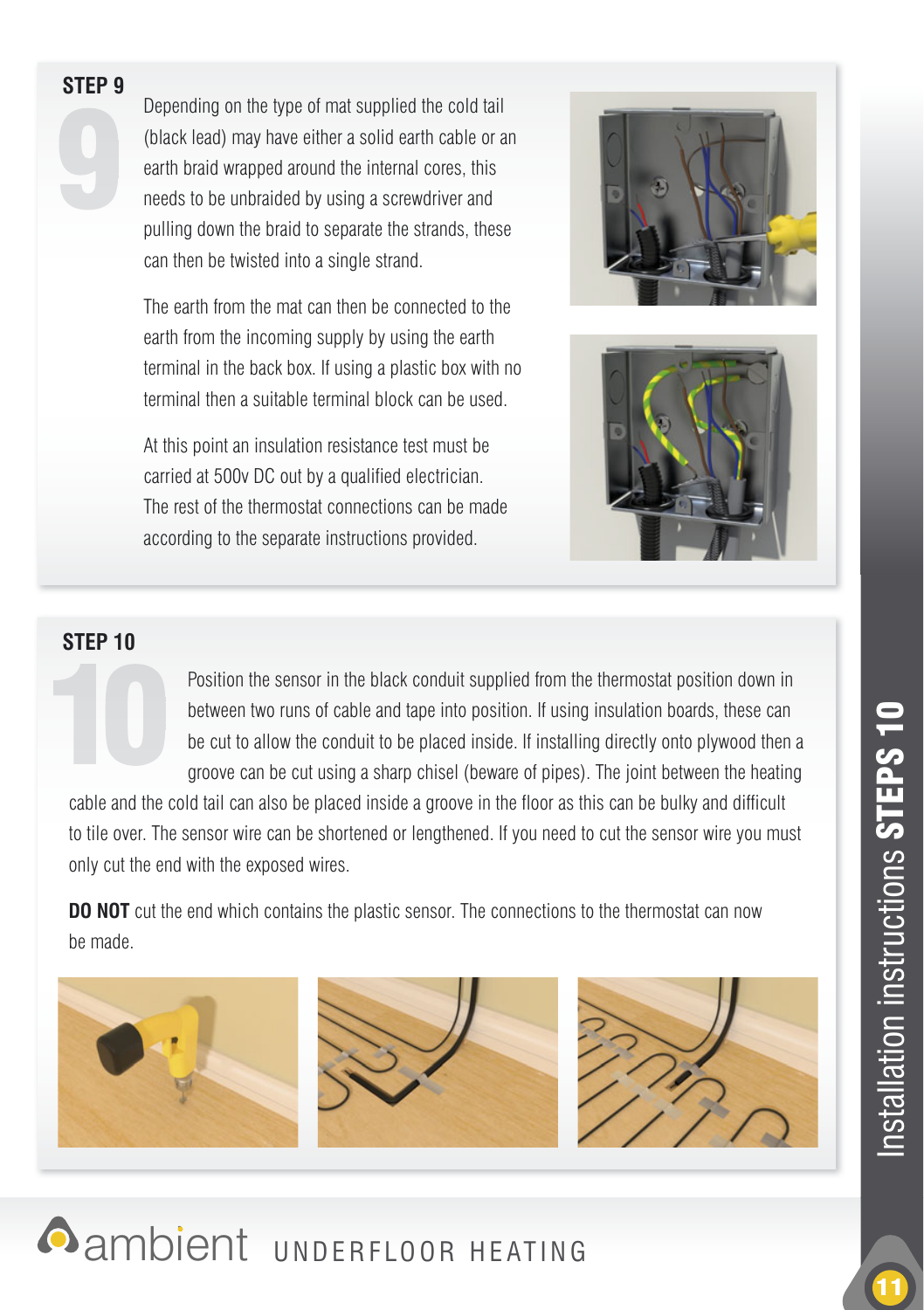Depending on the type of mat supplied the cold tail (black lead) may have either a solid earth cable or an earth braid wrapped around the internal cores, this needs to be unbraided by using a screwdriver and pulling down the braid to separate the strands, these can then be twisted into a single strand.

The earth from the mat can then be connected to the earth from the incoming supply by using the earth terminal in the back box. If using a plastic box with no terminal then a suitable terminal block can be used.

At this point an insulation resistance test must be carried at 500y DC out by a qualified electrician. The rest of the thermostat connections can be made according to the separate instructions provided.





#### **STEP 10**

Position the sensor in the black conduit supplied from the thermostat position down in between two runs of cable and tape into position. If using insulation boards, these can be cut to allow the conduit to be placed inside. If installing directly onto plywood then a groove can be cut using a sharp chisel (beware of pipes). The joint between the heating

cable and the cold tail can also be placed inside a groove in the floor as this can be bulky and difficult to tile over. The sensor wire can be shortened or lengthened. If you need to cut the sensor wire you must only cut the end with the exposed wires.

**DO NOT** cut the end which contains the plastic sensor. The connections to the thermostat can now be made.





11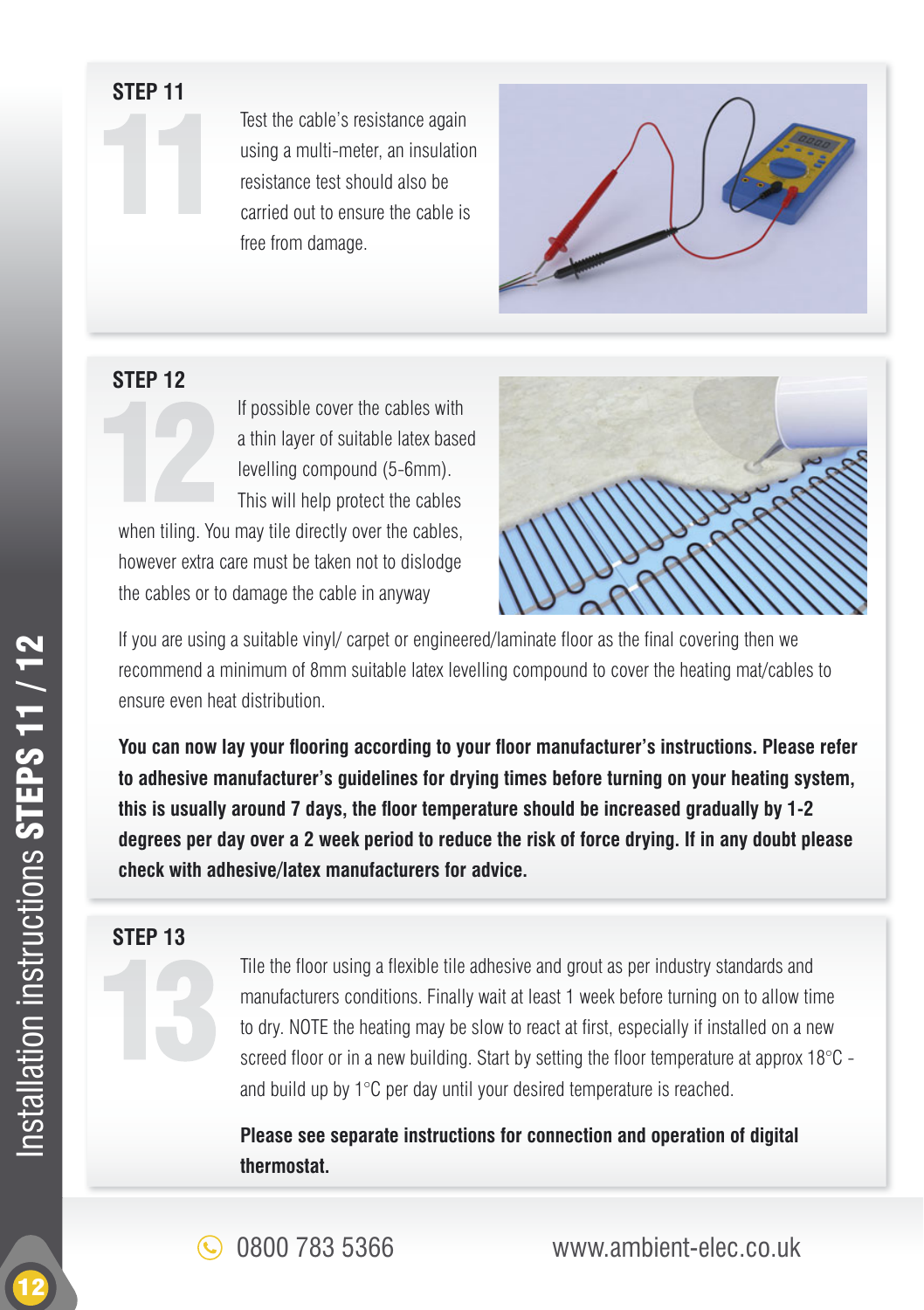Test the cable's resistance again using a multi-meter, an insulation resistance test should also be carried out to ensure the cable is free from damage.



#### **STEP 12**

If possible cover the cables with a thin layer of suitable latex based levelling compound (5-6mm). This will help protect the cables when tiling. You may tile directly over the cables,

however extra care must be taken not to dislodge the cables or to damage the cable in anyway



If you are using a suitable vinyl/ carpet or engineered/laminate floor as the final covering then we recommend a minimum of 8mm suitable latex levelling compound to cover the heating mat/cables to ensure even heat distribution.

You can now lay your flooring according to your floor manufacturer's instructions. Please refer **to adhesive manufacturer's guidelines for drying times before turning on your heating system,**  this is usually around 7 days, the floor temperature should be increased gradually by 1-2 **degrees per day over a 2 week period to reduce the risk of force drying. If in any doubt please check with adhesive/latex manufacturers for advice.**

#### **STEP 13**

Tile the floor using a flexible tile adhesive and grout as per industry standards and manufacturers conditions. Finally wait at least 1 week before turning on to allow time to dry. NOTE the heating may be slow to react at first, especially if installed on a new screed floor or in a new building. Start by setting the floor temperature at approx  $18^{\circ}$ C and build up by 1°C per day until your desired temperature is reached.

**Please see separate instructions for connection and operation of digital thermostat.**

0800 783 5366 www.ambient-elec.co.uk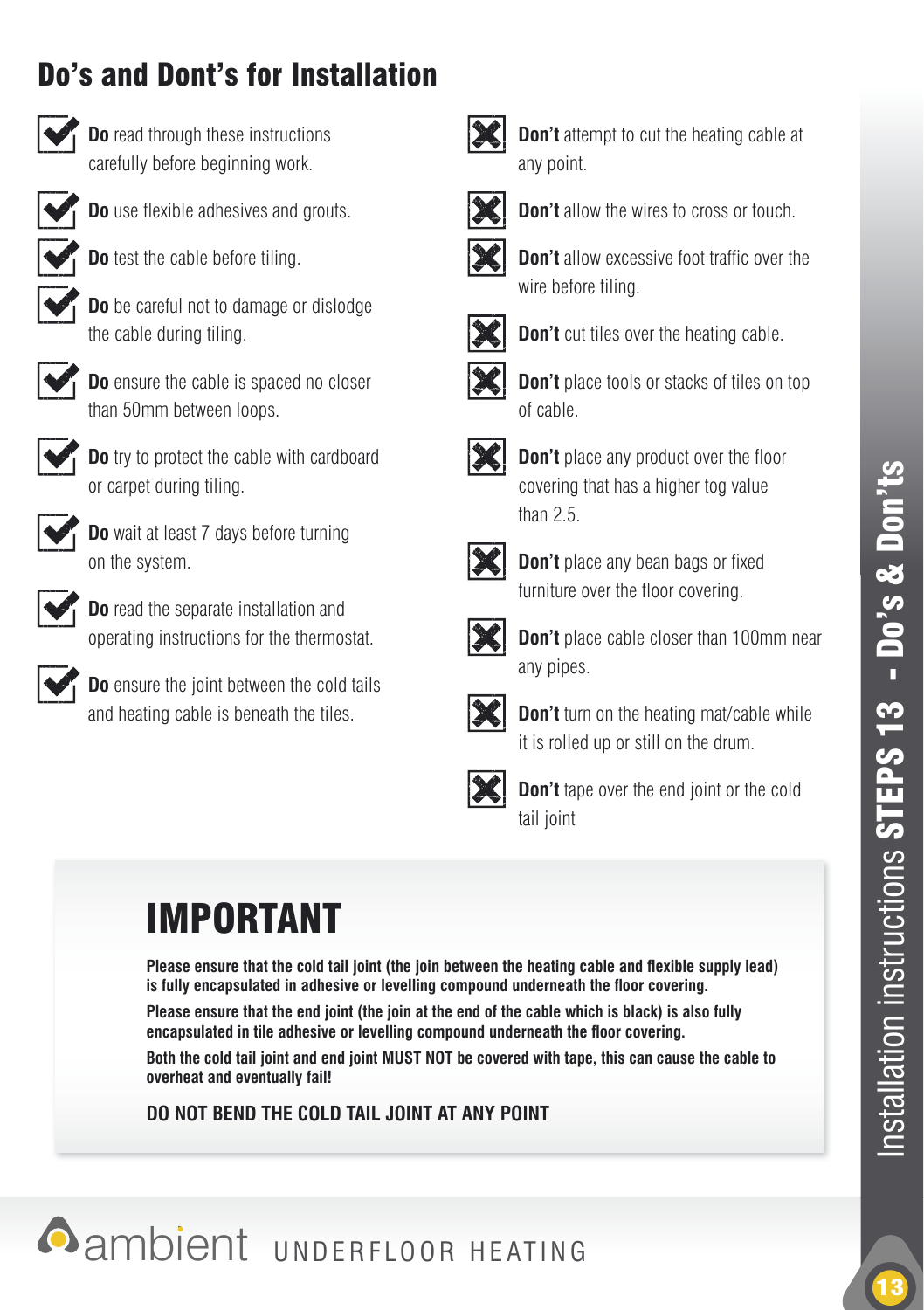# Do's and Dont's for Installation



**Do** read through these instructions carefully before beginning work.

**Do** use flexible adhesives and grouts.



**Do** test the cable before tiling.

 **Do** be careful not to damage or dislodge the cable during tiling.



 **Do** ensure the cable is spaced no closer than 50mm between loops.



 **Do** try to protect the cable with cardboard or carpet during tiling.



 **Do** wait at least 7 days before turning on the system.



 **Do** read the separate installation and operating instructions for the thermostat.



 **Do** ensure the joint between the cold tails and heating cable is beneath the tiles.



**Don't** attempt to cut the heating cable at any point.



**Don't** allow the wires to cross or touch.



**Don't** allow excessive foot traffic over the wire before tiling.



**Don't** cut tiles over the heating cable.



**Don't** place tools or stacks of tiles on top of cable.



**Don't** place any product over the floor covering that has a higher tog value than 2.5



**Don't** place any bean bags or fixed furniture over the floor covering.



**Don't** place cable closer than 100mm near any pipes.



**Don't** turn on the heating mat/cable while it is rolled up or still on the drum.



**Don't** tape over the end joint or the cold tail joint

# IMPORTANT

Please ensure that the cold tail joint (the join between the heating cable and flexible supply lead) is fully encapsulated in adhesive or levelling compound underneath the floor covering.

**Please ensure that the end joint (the join at the end of the cable which is black) is also fully**  encapsulated in tile adhesive or levelling compound underneath the floor covering.

**Both the cold tail joint and end joint MUST NOT be covered with tape, this can cause the cable to overheat and eventually fail!**

**DO NOT BEND THE COLD TAIL JOINT AT ANY POINT**